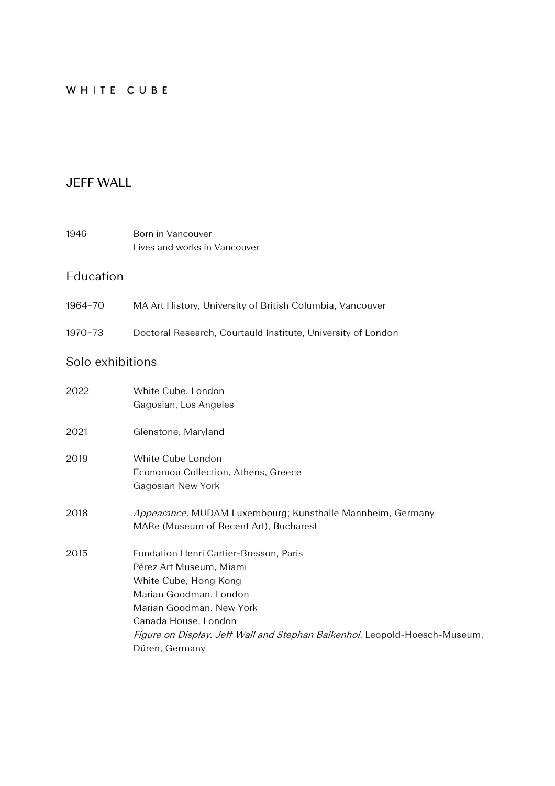## WHITE CUBE

## **JEFF WALL**

1946 Born in Vancouver Lives and works in Vancouver

## Education

- 1964−70 MA Art History, University of British Columbia, Vancouver
- 1970−73 Doctoral Research, Courtauld Institute, University of London

# Solo exhibitions

| 2022 | White Cube, London                                                         |
|------|----------------------------------------------------------------------------|
|      | Gagosian, Los Angeles                                                      |
| 2021 | Glenstone, Maryland                                                        |
| 2019 | White Cube London                                                          |
|      | Economou Collection, Athens, Greece                                        |
|      | Gagosian New York                                                          |
| 2018 | Appearance, MUDAM Luxembourg; Kunsthalle Mannheim, Germany                 |
|      | MARe (Museum of Recent Art), Bucharest                                     |
| 2015 | Fondation Henri Cartier-Bresson, Paris                                     |
|      | Pérez Art Museum, Miami                                                    |
|      | White Cube, Hong Kong                                                      |
|      | Marian Goodman, London                                                     |
|      | Marian Goodman, New York                                                   |
|      | Canada House, London                                                       |
|      | Figure on Display. Jeff Wall and Stephan Balkenhol. Leopold-Hoesch-Museum, |
|      | Düren, Germany                                                             |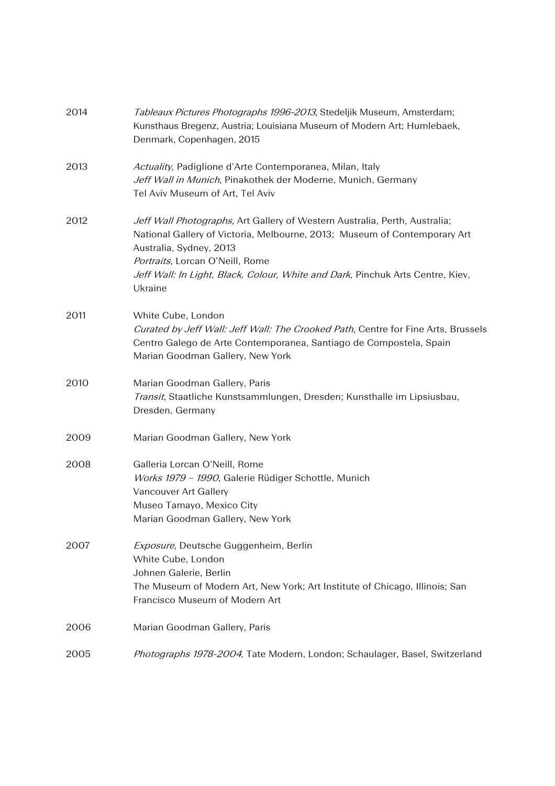| 2014 | Tableaux Pictures Photographs 1996-2013, Stedeljik Museum, Amsterdam;<br>Kunsthaus Bregenz, Austria; Louisiana Museum of Modern Art; Humlebaek,<br>Denmark, Copenhagen, 2015                                                                                                                                       |
|------|--------------------------------------------------------------------------------------------------------------------------------------------------------------------------------------------------------------------------------------------------------------------------------------------------------------------|
| 2013 | Actuality, Padiglione d'Arte Contemporanea, Milan, Italy<br>Jeff Wall in Munich, Pinakothek der Moderne, Munich, Germany<br>Tel Aviv Museum of Art, Tel Aviv                                                                                                                                                       |
| 2012 | Jeff Wall Photographs, Art Gallery of Western Australia, Perth, Australia;<br>National Gallery of Victoria, Melbourne, 2013; Museum of Contemporary Art<br>Australia, Sydney, 2013<br>Portraits, Lorcan O'Neill, Rome<br>Jeff Wall: In Light, Black, Colour, White and Dark, Pinchuk Arts Centre, Kiev,<br>Ukraine |
| 2011 | White Cube, London<br>Curated by Jeff Wall: Jeff Wall: The Crooked Path, Centre for Fine Arts, Brussels<br>Centro Galego de Arte Contemporanea, Santiago de Compostela, Spain<br>Marian Goodman Gallery, New York                                                                                                  |
| 2010 | Marian Goodman Gallery, Paris<br>Transit, Staatliche Kunstsammlungen, Dresden; Kunsthalle im Lipsiusbau,<br>Dresden, Germany                                                                                                                                                                                       |
| 2009 | Marian Goodman Gallery, New York                                                                                                                                                                                                                                                                                   |
| 2008 | Galleria Lorcan O'Neill, Rome<br>Works 1979 - 1990, Galerie Rüdiger Schottle, Munich<br>Vancouver Art Gallery<br>Museo Tamayo, Mexico City<br>Marian Goodman Gallery, New York                                                                                                                                     |
| 2007 | Exposure, Deutsche Guggenheim, Berlin<br>White Cube, London<br>Johnen Galerie, Berlin<br>The Museum of Modern Art, New York; Art Institute of Chicago, Illinois; San<br>Francisco Museum of Modern Art                                                                                                             |
| 2006 | Marian Goodman Gallery, Paris                                                                                                                                                                                                                                                                                      |
| 2005 | Photographs 1978-2004, Tate Modern, London; Schaulager, Basel, Switzerland                                                                                                                                                                                                                                         |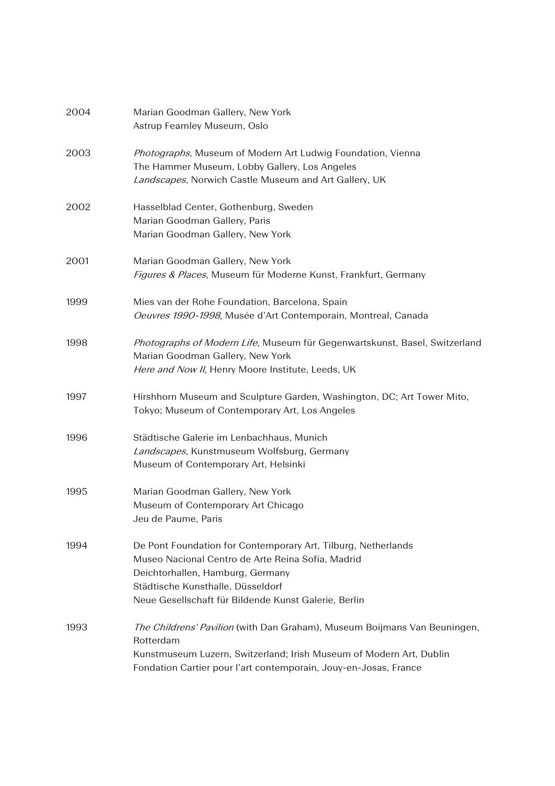| 2004 | Marian Goodman Gallery, New York<br>Astrup Fearnley Museum, Oslo                                                                                                                                                                                    |
|------|-----------------------------------------------------------------------------------------------------------------------------------------------------------------------------------------------------------------------------------------------------|
| 2003 | Photographs, Museum of Modern Art Ludwig Foundation, Vienna<br>The Hammer Museum, Lobby Gallery, Los Angeles<br>Landscapes, Norwich Castle Museum and Art Gallery, UK                                                                               |
| 2002 | Hasselblad Center, Gothenburg, Sweden<br>Marian Goodman Gallery, Paris<br>Marian Goodman Gallery, New York                                                                                                                                          |
| 2001 | Marian Goodman Gallery, New York<br>Figures & Places, Museum für Moderne Kunst, Frankfurt, Germany                                                                                                                                                  |
| 1999 | Mies van der Rohe Foundation, Barcelona, Spain<br>Oeuvres 1990-1998, Musée d'Art Contemporain, Montreal, Canada                                                                                                                                     |
| 1998 | Photographs of Modern Life, Museum für Gegenwartskunst, Basel, Switzerland<br>Marian Goodman Gallery, New York<br>Here and Now II, Henry Moore Institute, Leeds, UK                                                                                 |
| 1997 | Hirshhorn Museum and Sculpture Garden, Washington, DC; Art Tower Mito,<br>Tokyo; Museum of Contemporary Art, Los Angeles                                                                                                                            |
| 1996 | Städtische Galerie im Lenbachhaus, Munich<br>Landscapes, Kunstmuseum Wolfsburg, Germany<br>Museum of Contemporary Art, Helsinki                                                                                                                     |
| 1995 | Marian Goodman Gallery, New York<br>Museum of Contemporary Art Chicago<br>Jeu de Paume, Paris                                                                                                                                                       |
| 1994 | De Pont Foundation for Contemporary Art, Tilburg, Netherlands<br>Museo Nacional Centro de Arte Reina Sofía, Madrid<br>Deichtorhallen, Hamburg, Germany<br>Städtische Kunsthalle, Düsseldorf<br>Neue Gesellschaft für Bildende Kunst Galerie, Berlin |
| 1993 | The Childrens' Pavilion (with Dan Graham), Museum Boijmans Van Beuningen,<br>Rotterdam<br>Kunstmuseum Luzern, Switzerland; Irish Museum of Modern Art, Dublin<br>Fondation Cartier pour l'art contemporain, Jouy-en-Josas, France                   |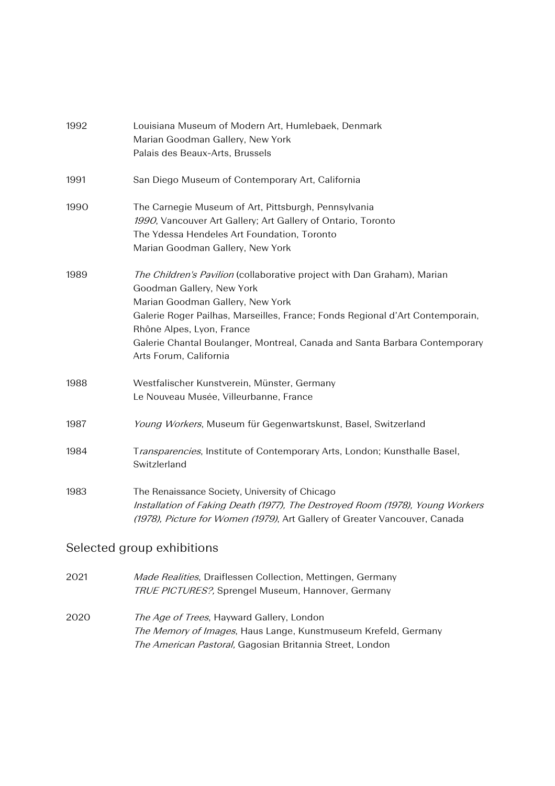| 1992 | Louisiana Museum of Modern Art, Humlebaek, Denmark<br>Marian Goodman Gallery, New York<br>Palais des Beaux-Arts, Brussels                                                                                                                                                                                                                                      |
|------|----------------------------------------------------------------------------------------------------------------------------------------------------------------------------------------------------------------------------------------------------------------------------------------------------------------------------------------------------------------|
| 1991 | San Diego Museum of Contemporary Art, California                                                                                                                                                                                                                                                                                                               |
| 1990 | The Carnegie Museum of Art, Pittsburgh, Pennsylvania<br>1990, Vancouver Art Gallery; Art Gallery of Ontario, Toronto<br>The Ydessa Hendeles Art Foundation, Toronto<br>Marian Goodman Gallery, New York                                                                                                                                                        |
| 1989 | The Children's Pavilion (collaborative project with Dan Graham), Marian<br>Goodman Gallery, New York<br>Marian Goodman Gallery, New York<br>Galerie Roger Pailhas, Marseilles, France; Fonds Regional d'Art Contemporain,<br>Rhône Alpes, Lyon, France<br>Galerie Chantal Boulanger, Montreal, Canada and Santa Barbara Contemporary<br>Arts Forum, California |
| 1988 | Westfalischer Kunstverein, Münster, Germany<br>Le Nouveau Musée, Villeurbanne, France                                                                                                                                                                                                                                                                          |
| 1987 | Young Workers, Museum für Gegenwartskunst, Basel, Switzerland                                                                                                                                                                                                                                                                                                  |
| 1984 | Transparencies, Institute of Contemporary Arts, London; Kunsthalle Basel,<br>Switzlerland                                                                                                                                                                                                                                                                      |
| 1983 | The Renaissance Society, University of Chicago<br>Installation of Faking Death (1977), The Destroyed Room (1978), Young Workers<br>(1978), Picture for Women (1979), Art Gallery of Greater Vancouver, Canada                                                                                                                                                  |

# Selected group exhibitions

| 2021 | Made Realities, Draiflessen Collection, Mettingen, Germany |
|------|------------------------------------------------------------|
|      | <b>TRUE PICTURES?, Sprengel Museum, Hannover, Germany</b>  |

2020 The Age of Trees, Hayward Gallery, London The Memory of Images, Haus Lange, Kunstmuseum Krefeld, Germany The American Pastoral, Gagosian Britannia Street, London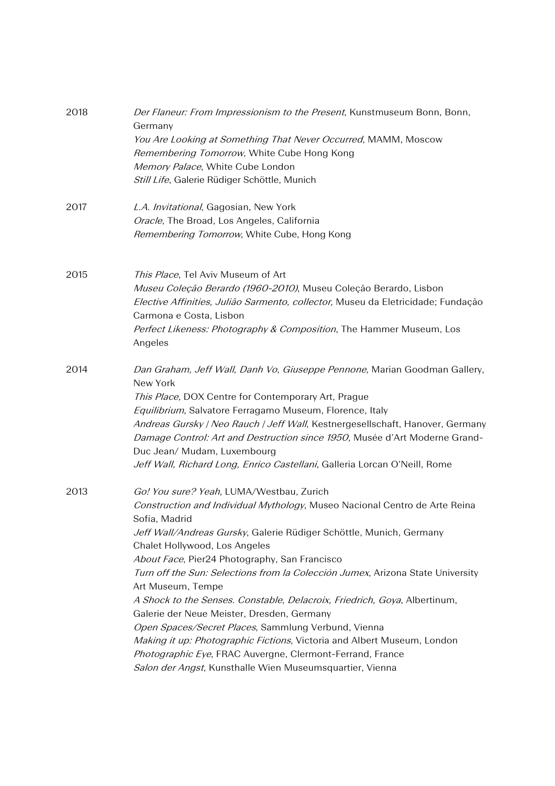| 2018 | Der Flaneur: From Impressionism to the Present, Kunstmuseum Bonn, Bonn,<br>Germany<br>You Are Looking at Something That Never Occurred, MAMM, Moscow |  |  |
|------|------------------------------------------------------------------------------------------------------------------------------------------------------|--|--|
|      | Remembering Tomorrow, White Cube Hong Kong                                                                                                           |  |  |
|      | Memory Palace, White Cube London                                                                                                                     |  |  |
|      | Still Life, Galerie Rüdiger Schöttle, Munich                                                                                                         |  |  |
| 2017 | L.A. Invitational, Gagosian, New York                                                                                                                |  |  |
|      | Oracle, The Broad, Los Angeles, California                                                                                                           |  |  |
|      | Remembering Tomorrow, White Cube, Hong Kong                                                                                                          |  |  |
| 2015 | This Place, Tel Aviv Museum of Art                                                                                                                   |  |  |
|      | Museu Coleção Berardo (1960-2010), Museu Coleção Berardo, Lisbon                                                                                     |  |  |
|      | Elective Affinities, Julião Sarmento, collector, Museu da Eletricidade; Fundação<br>Carmona e Costa, Lisbon                                          |  |  |
|      | Perfect Likeness: Photography & Composition, The Hammer Museum, Los                                                                                  |  |  |
|      | Angeles                                                                                                                                              |  |  |
| 2014 | Dan Graham, Jeff Wall, Danh Vo, Giuseppe Pennone, Marian Goodman Gallery,<br>New York                                                                |  |  |
|      | This Place, DOX Centre for Contemporary Art, Prague                                                                                                  |  |  |
|      | Equilibrium, Salvatore Ferragamo Museum, Florence, Italy                                                                                             |  |  |
|      | Andreas Gursky / Neo Rauch / Jeff Wall, Kestnergesellschaft, Hanover, Germany                                                                        |  |  |
|      | Damage Control: Art and Destruction since 1950, Musée d'Art Moderne Grand-                                                                           |  |  |
|      | Duc Jean/ Mudam, Luxembourg                                                                                                                          |  |  |
|      | Jeff Wall, Richard Long, Enrico Castellani, Galleria Lorcan O'Neill, Rome                                                                            |  |  |
| 2013 | Go! You sure? Yeah, LUMA/Westbau, Zurich                                                                                                             |  |  |
|      | Construction and Individual Mythology, Museo Nacional Centro de Arte Reina<br>Sofía, Madrid                                                          |  |  |
|      | Jeff Wall/Andreas Gursky, Galerie Rüdiger Schöttle, Munich, Germany                                                                                  |  |  |
|      | Chalet Hollywood, Los Angeles                                                                                                                        |  |  |
|      | About Face, Pier24 Photography, San Francisco                                                                                                        |  |  |
|      | Turn off the Sun: Selections from la Colección Jumex, Arizona State University                                                                       |  |  |
|      | Art Museum, Tempe                                                                                                                                    |  |  |
|      | A Shock to the Senses. Constable, Delacroix, Friedrich, Goya, Albertinum,                                                                            |  |  |
|      | Galerie der Neue Meister, Dresden, Germany                                                                                                           |  |  |
|      | Open Spaces/Secret Places, Sammlung Verbund, Vienna                                                                                                  |  |  |
|      | Making it up: Photographic Fictions, Victoria and Albert Museum, London                                                                              |  |  |
|      | Photographic Eye, FRAC Auvergne, Clermont-Ferrand, France                                                                                            |  |  |
|      | Salon der Angst, Kunsthalle Wien Museumsquartier, Vienna                                                                                             |  |  |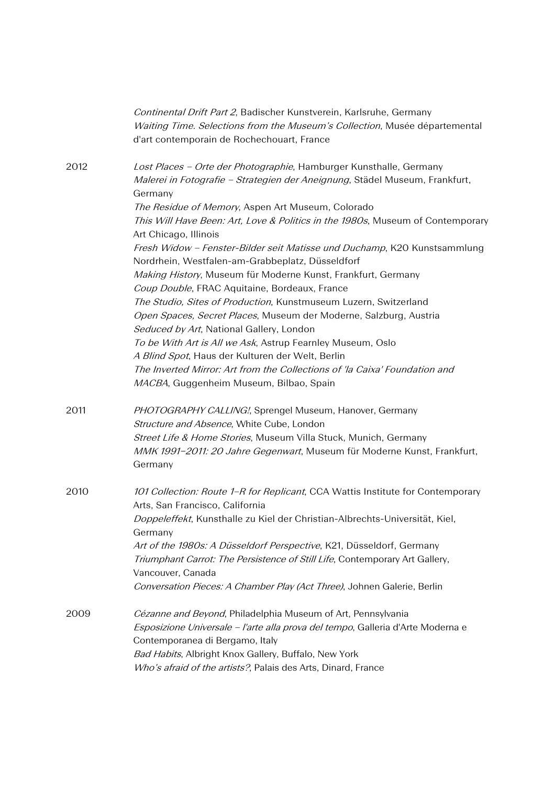|      | Continental Drift Part 2, Badischer Kunstverein, Karlsruhe, Germany<br>Waiting Time. Selections from the Museum's Collection, Musée départemental<br>d'art contemporain de Rochechouart, France |
|------|-------------------------------------------------------------------------------------------------------------------------------------------------------------------------------------------------|
| 2012 | Lost Places - Orte der Photographie, Hamburger Kunsthalle, Germany<br>Malerei in Fotografie - Strategien der Aneignung, Städel Museum, Frankfurt,<br>Germany                                    |
|      | The Residue of Memory, Aspen Art Museum, Colorado<br>This Will Have Been: Art, Love & Politics in the 1980s, Museum of Contemporary<br>Art Chicago, Illinois                                    |
|      | Fresh Widow - Fenster-Bilder seit Matisse und Duchamp, K20 Kunstsammlung<br>Nordrhein, Westfalen-am-Grabbeplatz, Düsseldforf                                                                    |
|      | Making History, Museum für Moderne Kunst, Frankfurt, Germany<br>Coup Double, FRAC Aquitaine, Bordeaux, France                                                                                   |
|      | The Studio, Sites of Production, Kunstmuseum Luzern, Switzerland<br>Open Spaces, Secret Places, Museum der Moderne, Salzburg, Austria<br>Seduced by Art, National Gallery, London               |
|      | To be With Art is All we Ask, Astrup Fearnley Museum, Oslo<br>A Blind Spot, Haus der Kulturen der Welt, Berlin                                                                                  |
|      | The Inverted Mirror: Art from the Collections of 'la Caixa' Foundation and<br>MACBA, Guggenheim Museum, Bilbao, Spain                                                                           |
| 2011 | PHOTOGRAPHY CALLING!, Sprengel Museum, Hanover, Germany<br>Structure and Absence, White Cube, London                                                                                            |
|      | Street Life & Home Stories, Museum Villa Stuck, Munich, Germany<br>MMK 1991-2011: 20 Jahre Gegenwart, Museum für Moderne Kunst, Frankfurt,<br>Germany                                           |
| 2010 | 101 Collection: Route 1-R for Replicant, CCA Wattis Institute for Contemporary<br>Arts, San Francisco, California                                                                               |
|      | Doppeleffekt, Kunsthalle zu Kiel der Christian-Albrechts-Universität, Kiel,<br>Germany                                                                                                          |
|      | Art of the 1980s: A Düsseldorf Perspective, K21, Düsseldorf, Germany<br>Triumphant Carrot: The Persistence of Still Life, Contemporary Art Gallery,<br>Vancouver, Canada                        |
|      | Conversation Pieces: A Chamber Play (Act Three), Johnen Galerie, Berlin                                                                                                                         |
| 2009 | Cézanne and Beyond, Philadelphia Museum of Art, Pennsylvania<br>Esposizione Universale - l'arte alla prova del tempo, Galleria d'Arte Moderna e<br>Contemporanea di Bergamo, Italy              |
|      | Bad Habits, Albright Knox Gallery, Buffalo, New York<br>Who's afraid of the artists?, Palais des Arts, Dinard, France                                                                           |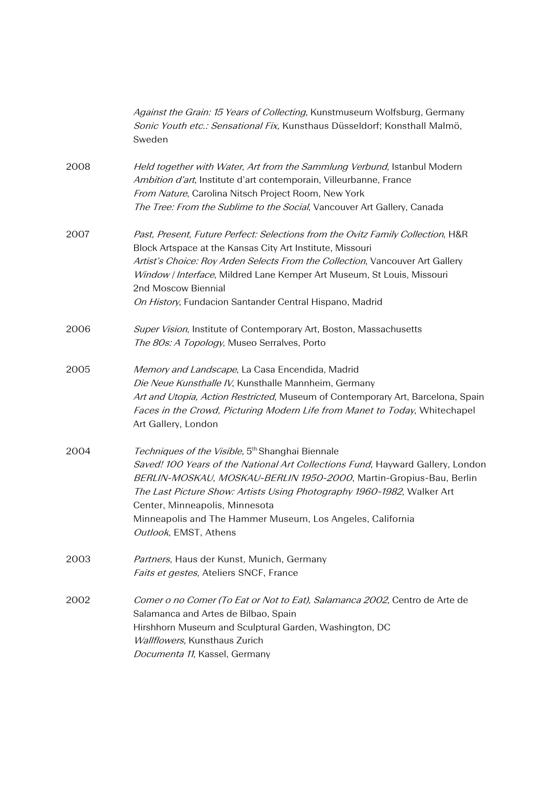|      | Against the Grain: 15 Years of Collecting, Kunstmuseum Wolfsburg, Germany<br>Sonic Youth etc.: Sensational Fix, Kunsthaus Düsseldorf; Konsthall Malmö,<br>Sweden                                                                                                                                                                                                                                                        |
|------|-------------------------------------------------------------------------------------------------------------------------------------------------------------------------------------------------------------------------------------------------------------------------------------------------------------------------------------------------------------------------------------------------------------------------|
| 2008 | Held together with Water, Art from the Sammlung Verbund, Istanbul Modern<br>Ambition d'art, Institute d'art contemporain, Villeurbanne, France<br>From Nature, Carolina Nitsch Project Room, New York<br>The Tree: From the Sublime to the Social, Vancouver Art Gallery, Canada                                                                                                                                        |
| 2007 | Past, Present, Future Perfect: Selections from the Ovitz Family Collection, H&R<br>Block Artspace at the Kansas City Art Institute, Missouri<br>Artist's Choice: Roy Arden Selects From the Collection, Vancouver Art Gallery<br>Window / Interface, Mildred Lane Kemper Art Museum, St Louis, Missouri<br>2nd Moscow Biennial<br>On History, Fundacion Santander Central Hispano, Madrid                               |
| 2006 | Super Vision, Institute of Contemporary Art, Boston, Massachusetts<br>The 80s: A Topology, Museo Serralves, Porto                                                                                                                                                                                                                                                                                                       |
| 2005 | Memory and Landscape, La Casa Encendida, Madrid<br>Die Neue Kunsthalle IV, Kunsthalle Mannheim, Germany<br>Art and Utopia, Action Restricted, Museum of Contemporary Art, Barcelona, Spain<br>Faces in the Crowd, Picturing Modern Life from Manet to Today, Whitechapel<br>Art Gallery, London                                                                                                                         |
| 2004 | Techniques of the Visible, 5 <sup>th</sup> Shanghai Biennale<br>Saved! 100 Years of the National Art Collections Fund, Hayward Gallery, London<br>BERLIN-MOSKAU, MOSKAU-BERLIN 1950-2000, Martin-Gropius-Bau, Berlin<br>The Last Picture Show: Artists Using Photography 1960-1982, Walker Art<br>Center, Minneapolis, Minnesota<br>Minneapolis and The Hammer Museum, Los Angeles, California<br>Outlook, EMST, Athens |
| 2003 | Partners, Haus der Kunst, Munich, Germany<br>Faits et gestes, Ateliers SNCF, France                                                                                                                                                                                                                                                                                                                                     |
| 2002 | Comer o no Comer (To Eat or Not to Eat), Salamanca 2002, Centro de Arte de<br>Salamanca and Artes de Bilbao, Spain<br>Hirshhorn Museum and Sculptural Garden, Washington, DC<br>Wallflowers, Kunsthaus Zurich<br>Documenta 11, Kassel, Germany                                                                                                                                                                          |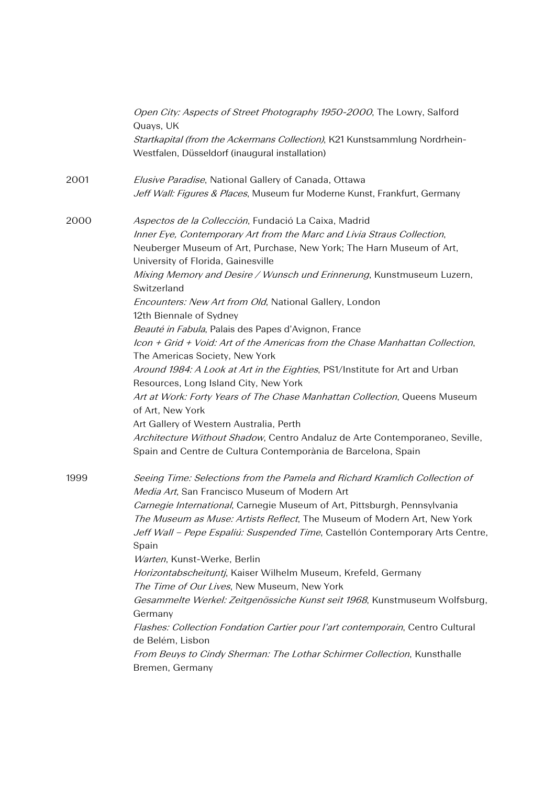|      | Open City: Aspects of Street Photography 1950-2000, The Lowry, Salford<br>Quays, UK                                          |
|------|------------------------------------------------------------------------------------------------------------------------------|
|      | Startkapital (from the Ackermans Collection), K21 Kunstsammlung Nordrhein-<br>Westfalen, Düsseldorf (inaugural installation) |
| 2001 | Elusive Paradise, National Gallery of Canada, Ottawa                                                                         |
|      | Jeff Wall: Figures & Places, Museum fur Moderne Kunst, Frankfurt, Germany                                                    |
| 2000 | Aspectos de la Collección, Fundació La Caixa, Madrid                                                                         |
|      | Inner Eye, Contemporary Art from the Marc and Livia Straus Collection,                                                       |
|      | Neuberger Museum of Art, Purchase, New York; The Harn Museum of Art,                                                         |
|      | University of Florida, Gainesville                                                                                           |
|      | Mixing Memory and Desire / Wunsch und Erinnerung, Kunstmuseum Luzern,<br>Switzerland                                         |
|      | Encounters: New Art from Old, National Gallery, London<br>12th Biennale of Sydney                                            |
|      | Beauté in Fabula, Palais des Papes d'Avignon, France                                                                         |
|      | Icon + Grid + Void: Art of the Americas from the Chase Manhattan Collection,                                                 |
|      | The Americas Society, New York                                                                                               |
|      | Around 1984: A Look at Art in the Eighties, PS1/Institute for Art and Urban<br>Resources, Long Island City, New York         |
|      | Art at Work: Forty Years of The Chase Manhattan Collection, Queens Museum<br>of Art, New York                                |
|      | Art Gallery of Western Australia, Perth                                                                                      |
|      | Architecture Without Shadow, Centro Andaluz de Arte Contemporaneo, Seville,                                                  |
|      | Spain and Centre de Cultura Contemporània de Barcelona, Spain                                                                |
| 1999 | Seeing Time: Selections from the Pamela and Richard Kramlich Collection of                                                   |
|      | Media Art, San Francisco Museum of Modern Art                                                                                |
|      | Carnegie International, Carnegie Museum of Art, Pittsburgh, Pennsylvania                                                     |
|      | The Museum as Muse: Artists Reflect, The Museum of Modern Art, New York                                                      |
|      | Jeff Wall - Pepe Espaliú: Suspended Time, Castellón Contemporary Arts Centre,                                                |
|      | Spain<br>Warten, Kunst-Werke, Berlin                                                                                         |
|      | Horizontabscheituntj, Kaiser Wilhelm Museum, Krefeld, Germany                                                                |
|      | The Time of Our Lives, New Museum, New York                                                                                  |
|      | Gesammelte Werkel: Zeitgenössiche Kunst seit 1968, Kunstmuseum Wolfsburg,                                                    |
|      | Germany                                                                                                                      |
|      | Flashes: Collection Fondation Cartier pour l'art contemporain, Centro Cultural                                               |
|      | de Belém, Lisbon                                                                                                             |
|      | From Beuys to Cindy Sherman: The Lothar Schirmer Collection, Kunsthalle                                                      |
|      | Bremen, Germany                                                                                                              |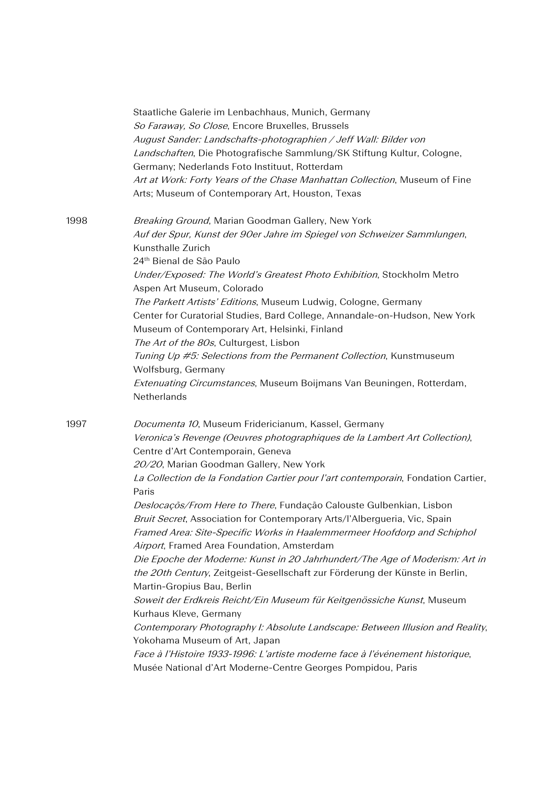|      | Staatliche Galerie im Lenbachhaus, Munich, Germany<br>So Faraway, So Close, Encore Bruxelles, Brussels<br>August Sander: Landschafts-photographien / Jeff Wall: Bilder von<br>Landschaften, Die Photografische Sammlung/SK Stiftung Kultur, Cologne,<br>Germany; Nederlands Foto Instituut, Rotterdam<br>Art at Work: Forty Years of the Chase Manhattan Collection, Museum of Fine<br>Arts; Museum of Contemporary Art, Houston, Texas                                                                                                          |
|------|--------------------------------------------------------------------------------------------------------------------------------------------------------------------------------------------------------------------------------------------------------------------------------------------------------------------------------------------------------------------------------------------------------------------------------------------------------------------------------------------------------------------------------------------------|
| 1998 | Breaking Ground, Marian Goodman Gallery, New York<br>Auf der Spur, Kunst der 90er Jahre im Spiegel von Schweizer Sammlungen,<br>Kunsthalle Zurich<br>24 <sup>th</sup> Bienal de São Paulo<br>Under/Exposed: The World's Greatest Photo Exhibition, Stockholm Metro<br>Aspen Art Museum, Colorado                                                                                                                                                                                                                                                 |
|      | The Parkett Artists' Editions, Museum Ludwig, Cologne, Germany<br>Center for Curatorial Studies, Bard College, Annandale-on-Hudson, New York<br>Museum of Contemporary Art, Helsinki, Finland<br>The Art of the 80s, Culturgest, Lisbon<br>Tuning Up #5: Selections from the Permanent Collection, Kunstmuseum<br>Wolfsburg, Germany<br>Extenuating Circumstances, Museum Boijmans Van Beuningen, Rotterdam,<br>Netherlands                                                                                                                      |
| 1997 | Documenta 10, Museum Fridericianum, Kassel, Germany<br>Veronica's Revenge (Oeuvres photographiques de la Lambert Art Collection),<br>Centre d'Art Contemporain, Geneva<br>20/20, Marian Goodman Gallery, New York<br>La Collection de la Fondation Cartier pour l'art contemporain, Fondation Cartier,<br>Paris                                                                                                                                                                                                                                  |
|      | Deslocaçõs/From Here to There, Fundação Calouste Gulbenkian, Lisbon<br>Bruit Secret, Association for Contemporary Arts/l'Albergueria, Vic, Spain<br>Framed Area: Site-Specific Works in Haalemmermeer Hoofdorp and Schiphol<br>Airport, Framed Area Foundation, Amsterdam<br>Die Epoche der Moderne: Kunst in 20 Jahrhundert/The Age of Moderism: Art in<br>the 20th Century, Zeitgeist-Gesellschaft zur Förderung der Künste in Berlin,<br>Martin-Gropius Bau, Berlin<br>Soweit der Erdkreis Reicht/Ein Museum für Keitgenössiche Kunst, Museum |
|      | Kurhaus Kleve, Germany<br>Contemporary Photography I: Absolute Landscape: Between Illusion and Reality,<br>Yokohama Museum of Art, Japan<br>Face à l'Histoire 1933-1996: L'artiste moderne face à l'événement historique,<br>Musée National d'Art Moderne-Centre Georges Pompidou, Paris                                                                                                                                                                                                                                                         |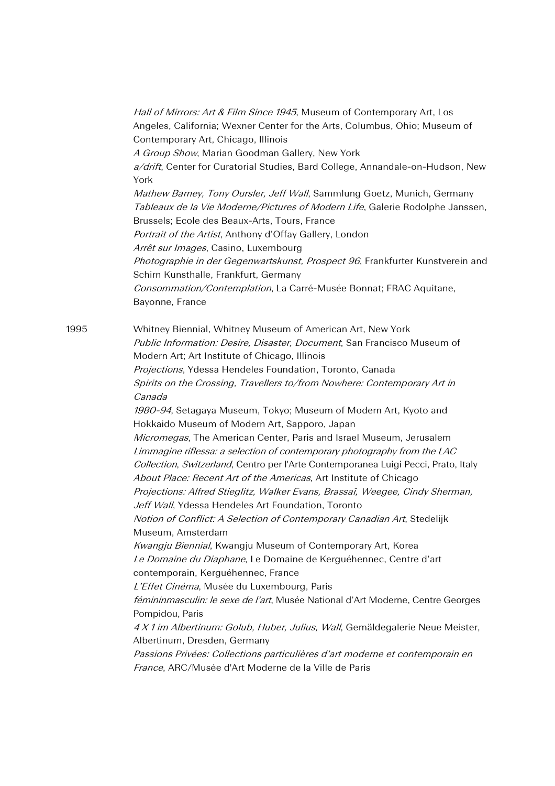Hall of Mirrors: Art & Film Since 1945, Museum of Contemporary Art, Los Angeles, California; Wexner Center for the Arts, Columbus, Ohio; Museum of Contemporary Art, Chicago, Illinois A Group Show, Marian Goodman Gallery, New York a/drift, Center for Curatorial Studies, Bard College, Annandale-on-Hudson, New York Mathew Barney, Tony Oursler, Jeff Wall, Sammlung Goetz, Munich, Germany Tableaux de la Vie Moderne/Pictures of Modern Life, Galerie Rodolphe Janssen, Brussels; Ecole des Beaux-Arts, Tours, France Portrait of the Artist, Anthony d'Offay Gallery, London Arrêt sur Images, Casino, Luxembourg Photographie in der Gegenwartskunst, Prospect 96, Frankfurter Kunstverein and Schirn Kunsthalle, Frankfurt, Germany Consommation/Contemplation, La Carré-Musée Bonnat; FRAC Aquitane, Bayonne, France

1995 Whitney Biennial, Whitney Museum of American Art, New York Public Information: Desire, Disaster, Document, San Francisco Museum of Modern Art; Art Institute of Chicago, Illinois Projections, Ydessa Hendeles Foundation, Toronto, Canada Spirits on the Crossing, Travellers to/from Nowhere: Contemporary Art in Canada 1980-94, Setagaya Museum, Tokyo; Museum of Modern Art, Kyoto and Hokkaido Museum of Modern Art, Sapporo, Japan Micromegas, The American Center, Paris and Israel Museum, Jerusalem Limmagine riflessa: a selection of contemporary photography from the LAC Collection, Switzerland, Centro per l'Arte Contemporanea Luigi Pecci, Prato, Italy About Place: Recent Art of the Americas, Art Institute of Chicago Projections: Alfred Stieglitz, Walker Evans, Brassaï, Weegee, Cindy Sherman, Jeff Wall, Ydessa Hendeles Art Foundation, Toronto Notion of Conflict: A Selection of Contemporary Canadian Art, Stedelijk Museum, Amsterdam Kwangju Biennial, Kwangju Museum of Contemporary Art, Korea Le Domaine du Diaphane, Le Domaine de Kerguéhennec, Centre d'art contemporain, Kerguéhennec, France L'Effet Cinéma, Musée du Luxembourg, Paris fémininmasculin: le sexe de l'art, Musée National d'Art Moderne, Centre Georges

Pompidou, Paris

4 X 1 im Albertinum: Golub, Huber, Julius, Wall, Gemäldegalerie Neue Meister, Albertinum, Dresden, Germany

Passions Privées: Collections particulières d'art moderne et contemporain en France, ARC/Musée d'Art Moderne de la Ville de Paris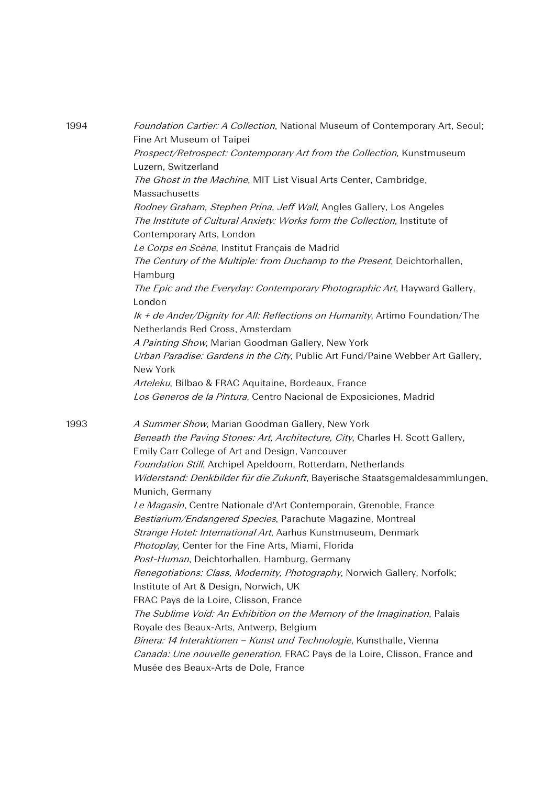| 1994 | Foundation Cartier: A Collection, National Museum of Contemporary Art, Seoul;<br>Fine Art Museum of Taipei                                                                      |
|------|---------------------------------------------------------------------------------------------------------------------------------------------------------------------------------|
|      | Prospect/Retrospect: Contemporary Art from the Collection, Kunstmuseum<br>Luzern, Switzerland                                                                                   |
|      | The Ghost in the Machine, MIT List Visual Arts Center, Cambridge,<br>Massachusetts                                                                                              |
|      | Rodney Graham, Stephen Prina, Jeff Wall, Angles Gallery, Los Angeles<br>The Institute of Cultural Anxiety: Works form the Collection, Institute of<br>Contemporary Arts, London |
|      | Le Corps en Scène, Institut Français de Madrid                                                                                                                                  |
|      | The Century of the Multiple: from Duchamp to the Present, Deichtorhallen,<br>Hamburg                                                                                            |
|      | The Epic and the Everyday: Contemporary Photographic Art, Hayward Gallery,<br>London                                                                                            |
|      | Ik + de Ander/Dignity for All: Reflections on Humanity, Artimo Foundation/The<br>Netherlands Red Cross, Amsterdam                                                               |
|      | A Painting Show, Marian Goodman Gallery, New York                                                                                                                               |
|      | Urban Paradise: Gardens in the City, Public Art Fund/Paine Webber Art Gallery,<br>New York                                                                                      |
|      | Arteleku, Bilbao & FRAC Aquitaine, Bordeaux, France                                                                                                                             |
|      | Los Generos de la Pintura, Centro Nacional de Exposiciones, Madrid                                                                                                              |
| 1993 | A Summer Show, Marian Goodman Gallery, New York                                                                                                                                 |
|      | Beneath the Paving Stones: Art, Architecture, City, Charles H. Scott Gallery,<br>Emily Carr College of Art and Design, Vancouver                                                |
|      | Foundation Still, Archipel Apeldoorn, Rotterdam, Netherlands                                                                                                                    |
|      | Widerstand: Denkbilder für die Zukunft, Bayerische Staatsgemaldesammlungen,<br>Munich, Germany                                                                                  |
|      | Le Magasin, Centre Nationale d'Art Contemporain, Grenoble, France                                                                                                               |
|      | Bestiarium/Endangered Species, Parachute Magazine, Montreal                                                                                                                     |
|      | Strange Hotel: International Art, Aarhus Kunstmuseum, Denmark                                                                                                                   |
|      | Photoplay, Center for the Fine Arts, Miami, Florida                                                                                                                             |
|      | Post-Human, Deichtorhallen, Hamburg, Germany                                                                                                                                    |
|      | Renegotiations: Class, Modernity, Photography, Norwich Gallery, Norfolk;                                                                                                        |
|      | Institute of Art & Design, Norwich, UK                                                                                                                                          |
|      | FRAC Pays de la Loire, Clisson, France                                                                                                                                          |
|      | The Sublime Void: An Exhibition on the Memory of the Imagination, Palais                                                                                                        |
|      | Royale des Beaux-Arts, Antwerp, Belgium                                                                                                                                         |
|      | Binera: 14 Interaktionen - Kunst und Technologie, Kunsthalle, Vienna                                                                                                            |
|      | Canada: Une nouvelle generation, FRAC Pays de la Loire, Clisson, France and                                                                                                     |
|      | Musée des Beaux-Arts de Dole, France                                                                                                                                            |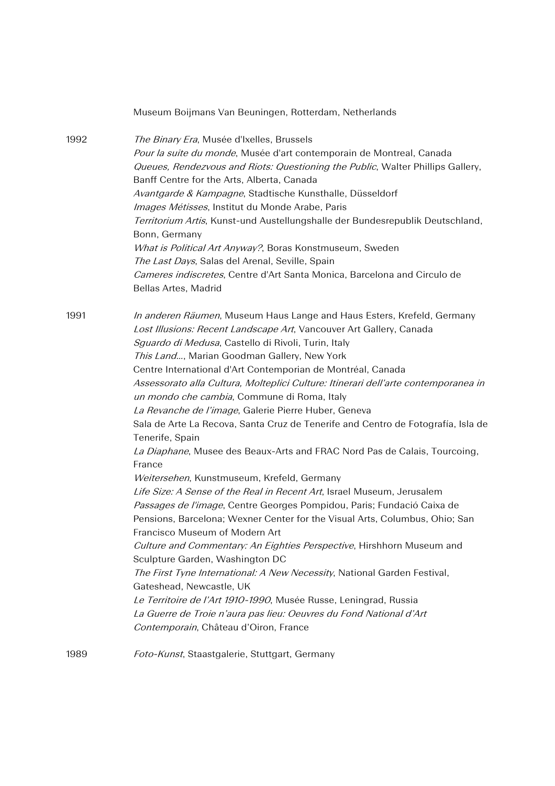|      | Museum Boijmans Van Beuningen, Rotterdam, Netherlands                              |
|------|------------------------------------------------------------------------------------|
| 1992 | The Binary Era, Musée d'Ixelles, Brussels                                          |
|      | Pour la suite du monde, Musée d'art contemporain de Montreal, Canada               |
|      | Queues, Rendezvous and Riots: Questioning the Public, Walter Phillips Gallery,     |
|      | Banff Centre for the Arts, Alberta, Canada                                         |
|      | Avantgarde & Kampagne, Stadtische Kunsthalle, Düsseldorf                           |
|      | Images Métisses, Institut du Monde Arabe, Paris                                    |
|      | Territorium Artis, Kunst-und Austellungshalle der Bundesrepublik Deutschland,      |
|      | Bonn, Germany                                                                      |
|      | What is Political Art Anyway?, Boras Konstmuseum, Sweden                           |
|      | The Last Days, Salas del Arenal, Seville, Spain                                    |
|      | Cameres indiscretes, Centre d'Art Santa Monica, Barcelona and Circulo de           |
|      | Bellas Artes, Madrid                                                               |
| 1991 | In anderen Räumen, Museum Haus Lange and Haus Esters, Krefeld, Germany             |
|      | Lost Illusions: Recent Landscape Art, Vancouver Art Gallery, Canada                |
|      | Sguardo di Medusa, Castello di Rivoli, Turin, Italy                                |
|      | This Land, Marian Goodman Gallery, New York                                        |
|      | Centre International d'Art Contemporian de Montréal, Canada                        |
|      | Assessorato alla Cultura, Molteplici Culture: Itinerari dell'arte contemporanea in |
|      | un mondo che cambia, Commune di Roma, Italy                                        |
|      | La Revanche de l'image, Galerie Pierre Huber, Geneva                               |
|      | Sala de Arte La Recova, Santa Cruz de Tenerife and Centro de Fotografía, Isla de   |
|      | Tenerife, Spain                                                                    |
|      | La Diaphane, Musee des Beaux-Arts and FRAC Nord Pas de Calais, Tourcoing,          |
|      | France                                                                             |
|      | Weitersehen, Kunstmuseum, Krefeld, Germany                                         |
|      | Life Size: A Sense of the Real in Recent Art, Israel Museum, Jerusalem             |
|      | Passages de l'image, Centre Georges Pompidou, Paris; Fundació Caixa de             |
|      | Pensions, Barcelona; Wexner Center for the Visual Arts, Columbus, Ohio; San        |
|      | Francisco Museum of Modern Art                                                     |
|      | Culture and Commentary: An Eighties Perspective, Hirshhorn Museum and              |
|      | Sculpture Garden, Washington DC                                                    |
|      | The First Tyne International: A New Necessity, National Garden Festival,           |
|      | Gateshead, Newcastle, UK                                                           |
|      | Le Territoire de l'Art 1910-1990, Musée Russe, Leningrad, Russia                   |
|      | La Guerre de Troie n'aura pas lieu: Oeuvres du Fond National d'Art                 |
|      | Contemporain, Château d'Oiron, France                                              |
| 1989 | Foto-Kunst, Staastgalerie, Stuttgart, Germany                                      |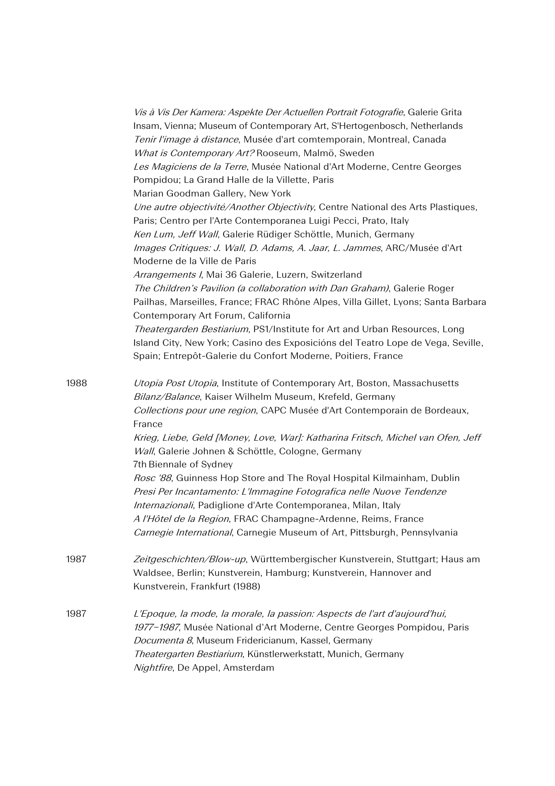|      | Vis à Vis Der Kamera: Aspekte Der Actuellen Portrait Fotografie, Galerie Grita<br>Insam, Vienna; Museum of Contemporary Art, S'Hertogenbosch, Netherlands<br>Tenir l'image à distance, Musée d'art comtemporain, Montreal, Canada<br>What is Contemporary Art? Rooseum, Malmö, Sweden<br>Les Magiciens de la Terre, Musée National d'Art Moderne, Centre Georges<br>Pompidou; La Grand Halle de la Villette, Paris<br>Marian Goodman Gallery, New York<br>Une autre objectivité/Another Objectivity, Centre National des Arts Plastiques,<br>Paris; Centro per l'Arte Contemporanea Luigi Pecci, Prato, Italy<br>Ken Lum, Jeff Wall, Galerie Rüdiger Schöttle, Munich, Germany<br>Images Critiques: J. Wall, D. Adams, A. Jaar, L. Jammes, ARC/Musée d'Art<br>Moderne de la Ville de Paris<br>Arrangements I, Mai 36 Galerie, Luzern, Switzerland<br>The Children's Pavilion (a collaboration with Dan Graham), Galerie Roger<br>Pailhas, Marseilles, France; FRAC Rhône Alpes, Villa Gillet, Lyons; Santa Barbara<br>Contemporary Art Forum, California<br>Theatergarden Bestiarium, PS1/Institute for Art and Urban Resources, Long<br>Island City, New York; Casino des Exposicións del Teatro Lope de Vega, Seville, |
|------|--------------------------------------------------------------------------------------------------------------------------------------------------------------------------------------------------------------------------------------------------------------------------------------------------------------------------------------------------------------------------------------------------------------------------------------------------------------------------------------------------------------------------------------------------------------------------------------------------------------------------------------------------------------------------------------------------------------------------------------------------------------------------------------------------------------------------------------------------------------------------------------------------------------------------------------------------------------------------------------------------------------------------------------------------------------------------------------------------------------------------------------------------------------------------------------------------------------------------|
|      | Spain; Entrepôt-Galerie du Confort Moderne, Poitiers, France                                                                                                                                                                                                                                                                                                                                                                                                                                                                                                                                                                                                                                                                                                                                                                                                                                                                                                                                                                                                                                                                                                                                                             |
| 1988 | Utopia Post Utopia, Institute of Contemporary Art, Boston, Massachusetts<br>Bilanz/Balance, Kaiser Wilhelm Museum, Krefeld, Germany<br>Collections pour une region, CAPC Musée d'Art Contemporain de Bordeaux,<br>France<br>Krieg, Liebe, Geld [Money, Love, War]: Katharina Fritsch, Michel van Ofen, Jeff<br>Wall, Galerie Johnen & Schöttle, Cologne, Germany<br>7th Biennale of Sydney<br>Rosc '88, Guinness Hop Store and The Royal Hospital Kilmainham, Dublin<br>Presi Per Incantamento: L'Immagine Fotografica nelle Nuove Tendenze<br>Internazionali, Padiglione d'Arte Contemporanea, Milan, Italy<br>A l'Hôtel de la Region, FRAC Champagne-Ardenne, Reims, France<br>Carnegie International, Carnegie Museum of Art, Pittsburgh, Pennsylvania                                                                                                                                                                                                                                                                                                                                                                                                                                                                |
| 1987 | Zeitgeschichten/Blow-up, Württembergischer Kunstverein, Stuttgart; Haus am<br>Waldsee, Berlin; Kunstverein, Hamburg; Kunstverein, Hannover and<br>Kunstverein, Frankfurt (1988)                                                                                                                                                                                                                                                                                                                                                                                                                                                                                                                                                                                                                                                                                                                                                                                                                                                                                                                                                                                                                                          |
| 1987 | L'Epoque, la mode, la morale, la passion: Aspects de l'art d'aujourd'hui,<br>1977-1987, Musée National d'Art Moderne, Centre Georges Pompidou, Paris<br>Documenta 8, Museum Fridericianum, Kassel, Germany<br>Theatergarten Bestiarium, Künstlerwerkstatt, Munich, Germany<br>Nightfire, De Appel, Amsterdam                                                                                                                                                                                                                                                                                                                                                                                                                                                                                                                                                                                                                                                                                                                                                                                                                                                                                                             |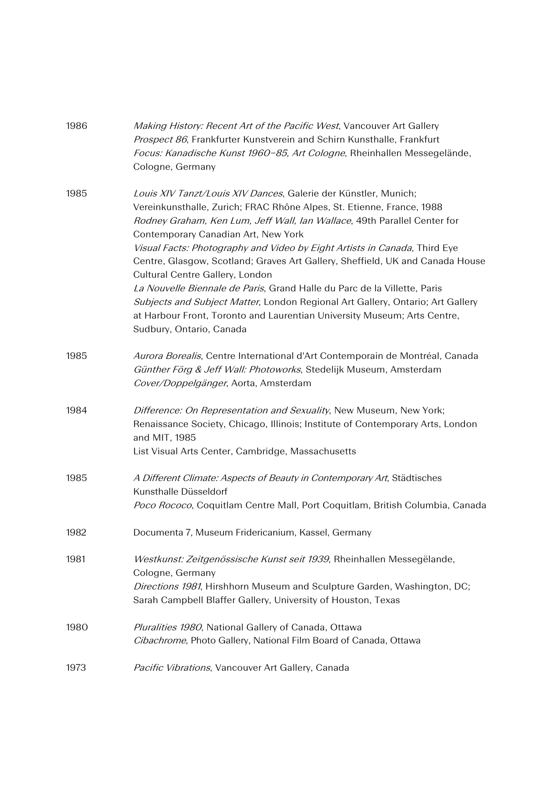| 1986 | Making History: Recent Art of the Pacific West, Vancouver Art Gallery<br>Prospect 86, Frankfurter Kunstverein and Schirn Kunsthalle, Frankfurt<br>Focus: Kanadische Kunst 1960-85, Art Cologne, Rheinhallen Messegelände,<br>Cologne, Germany                                                                                                                                          |
|------|----------------------------------------------------------------------------------------------------------------------------------------------------------------------------------------------------------------------------------------------------------------------------------------------------------------------------------------------------------------------------------------|
| 1985 | Louis XIV Tanzt/Louis XIV Dances, Galerie der Künstler, Munich;<br>Vereinkunsthalle, Zurich; FRAC Rhône Alpes, St. Etienne, France, 1988<br>Rodney Graham, Ken Lum, Jeff Wall, Ian Wallace, 49th Parallel Center for<br>Contemporary Canadian Art, New York<br>Visual Facts: Photography and Video by Eight Artists in Canada, Third Eye                                               |
|      | Centre, Glasgow, Scotland; Graves Art Gallery, Sheffield, UK and Canada House<br>Cultural Centre Gallery, London<br>La Nouvelle Biennale de Paris, Grand Halle du Parc de la Villette, Paris<br>Subjects and Subject Matter, London Regional Art Gallery, Ontario; Art Gallery<br>at Harbour Front, Toronto and Laurentian University Museum; Arts Centre,<br>Sudbury, Ontario, Canada |
| 1985 | Aurora Borealis, Centre International d'Art Contemporain de Montréal, Canada<br>Günther Förg & Jeff Wall: Photoworks, Stedelijk Museum, Amsterdam<br>Cover/Doppelgänger, Aorta, Amsterdam                                                                                                                                                                                              |
| 1984 | Difference: On Representation and Sexuality, New Museum, New York;<br>Renaissance Society, Chicago, Illinois; Institute of Contemporary Arts, London<br>and MIT, 1985<br>List Visual Arts Center, Cambridge, Massachusetts                                                                                                                                                             |
| 1985 | A Different Climate: Aspects of Beauty in Contemporary Art, Städtisches<br>Kunsthalle Düsseldorf<br>Poco Rococo, Coquitlam Centre Mall, Port Coquitlam, British Columbia, Canada                                                                                                                                                                                                       |
| 1982 | Documenta 7, Museum Fridericanium, Kassel, Germany                                                                                                                                                                                                                                                                                                                                     |
| 1981 | Westkunst: Zeitgenössische Kunst seit 1939, Rheinhallen Messegëlande,<br>Cologne, Germany<br>Directions 1981, Hirshhorn Museum and Sculpture Garden, Washington, DC;<br>Sarah Campbell Blaffer Gallery, University of Houston, Texas                                                                                                                                                   |
| 1980 | Pluralities 1980, National Gallery of Canada, Ottawa<br>Cibachrome, Photo Gallery, National Film Board of Canada, Ottawa                                                                                                                                                                                                                                                               |
| 1973 | Pacific Vibrations, Vancouver Art Gallery, Canada                                                                                                                                                                                                                                                                                                                                      |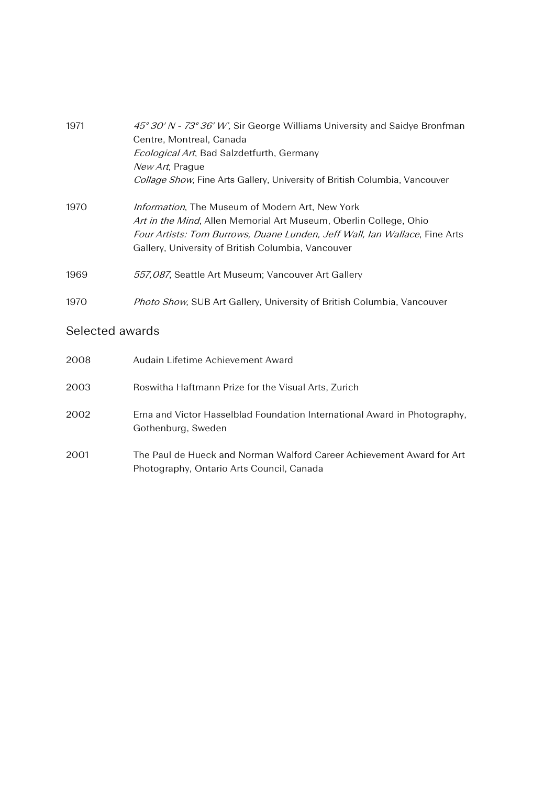| 1971 | 45° 30′ N - 73° 36′ W', Sir George Williams University and Saidye Bronfman<br>Centre, Montreal, Canada<br><i>Ecological Art</i> , Bad Salzdetfurth, Germany<br>New Art, Prague<br>Collage Show, Fine Arts Gallery, University of British Columbia, Vancouver     |
|------|------------------------------------------------------------------------------------------------------------------------------------------------------------------------------------------------------------------------------------------------------------------|
| 1970 | <i>Information</i> , The Museum of Modern Art, New York<br>Art in the Mind, Allen Memorial Art Museum, Oberlin College, Ohio<br>Four Artists: Tom Burrows, Duane Lunden, Jeff Wall, Ian Wallace, Fine Arts<br>Gallery, University of British Columbia, Vancouver |
| 1969 | 557,087, Seattle Art Museum; Vancouver Art Gallery                                                                                                                                                                                                               |
| 1970 | Photo Show, SUB Art Gallery, University of British Columbia, Vancouver                                                                                                                                                                                           |

# Selected awards

| 2008 | Audain Lifetime Achievement Award                                                                                  |
|------|--------------------------------------------------------------------------------------------------------------------|
| 2003 | Roswitha Haftmann Prize for the Visual Arts, Zurich                                                                |
| 2002 | Erna and Victor Hasselblad Foundation International Award in Photography,<br>Gothenburg, Sweden                    |
| 2001 | The Paul de Hueck and Norman Walford Career Achievement Award for Art<br>Photography, Ontario Arts Council, Canada |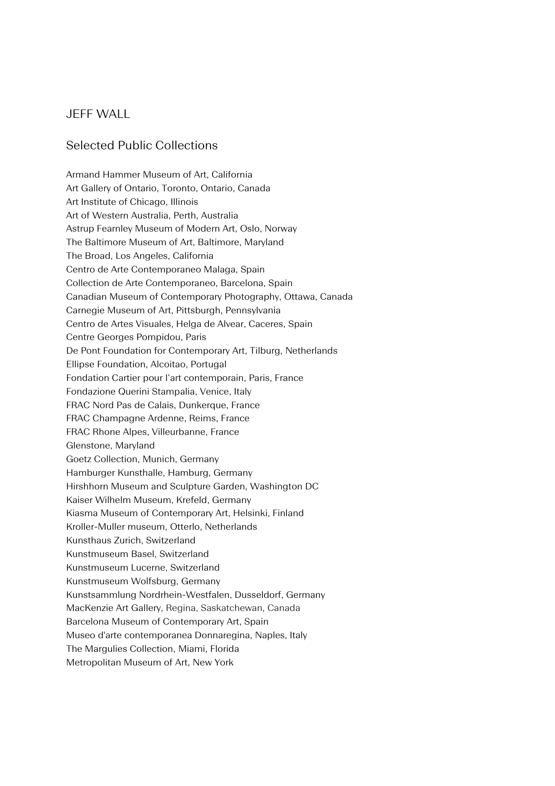### JEFF WALL

#### Selected Public Collections

Armand Hammer Museum of Art, California Art Gallery of Ontario, Toronto, Ontario, Canada Art Institute of Chicago, Illinois Art of Western Australia, Perth, Australia Astrup Fearnley Museum of Modern Art, Oslo, Norway The Baltimore Museum of Art, Baltimore, Maryland The Broad, Los Angeles, California Centro de Arte Contemporaneo Malaga, Spain Collection de Arte Contemporaneo, Barcelona, Spain Canadian Museum of Contemporary Photography, Ottawa, Canada Carnegie Museum of Art, Pittsburgh, Pennsylvania Centro de Artes Visuales, Helga de Alvear, Caceres, Spain Centre Georges Pompidou, Paris De Pont Foundation for Contemporary Art, Tilburg, Netherlands Ellipse Foundation, Alcoitao, Portugal Fondation Cartier pour l'art contemporain, Paris, France Fondazione Querini Stampalia, Venice, Italy FRAC Nord Pas de Calais, Dunkerque, France FRAC Champagne Ardenne, Reims, France FRAC Rhone Alpes, Villeurbanne, France Glenstone, Maryland Goetz Collection, Munich, Germany Hamburger Kunsthalle, Hamburg, Germany Hirshhorn Museum and Sculpture Garden, Washington DC Kaiser Wilhelm Museum, Krefeld, Germany Kiasma Museum of Contemporary Art, Helsinki, Finland Kroller-Muller museum, Otterlo, Netherlands Kunsthaus Zurich, Switzerland Kunstmuseum Basel, Switzerland Kunstmuseum Lucerne, Switzerland Kunstmuseum Wolfsburg, Germany Kunstsammlung Nordrhein-Westfalen, Dusseldorf, Germany MacKenzie Art Gallery, Regina, Saskatchewan, Canada Barcelona Museum of Contemporary Art, Spain Museo d'arte contemporanea Donnaregina, Naples, Italy The Margulies Collection, Miami, Florida Metropolitan Museum of Art, New York